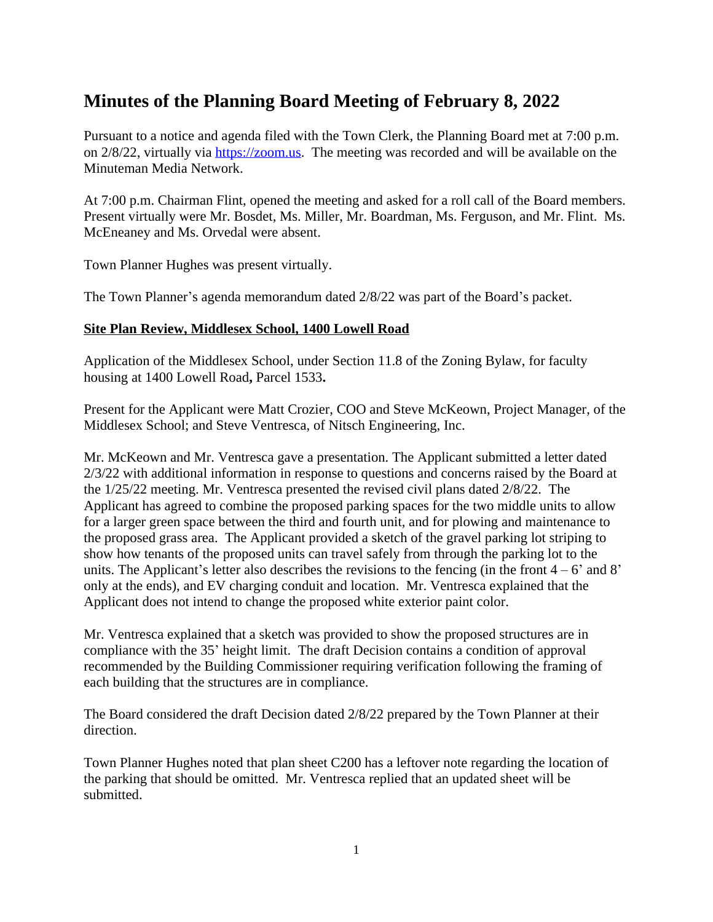# **Minutes of the Planning Board Meeting of February 8, 2022**

Pursuant to a notice and agenda filed with the Town Clerk, the Planning Board met at 7:00 p.m. on 2/8/22, virtually via [https://zoom.us.](https://zoom.us) The meeting was recorded and will be available on the Minuteman Media Network.

At 7:00 p.m. Chairman Flint, opened the meeting and asked for a roll call of the Board members. Present virtually were Mr. Bosdet, Ms. Miller, Mr. Boardman, Ms. Ferguson, and Mr. Flint. Ms. McEneaney and Ms. Orvedal were absent.

Town Planner Hughes was present virtually.

The Town Planner's agenda memorandum dated 2/8/22 was part of the Board's packet.

## **Site Plan Review, Middlesex School, 1400 Lowell Road**

Application of the Middlesex School, under Section 11.8 of the Zoning Bylaw, for faculty housing at 1400 Lowell Road**,** Parcel 1533**.**

Present for the Applicant were Matt Crozier, COO and Steve McKeown, Project Manager, of the Middlesex School; and Steve Ventresca, of Nitsch Engineering, Inc.

Mr. McKeown and Mr. Ventresca gave a presentation. The Applicant submitted a letter dated 2/3/22 with additional information in response to questions and concerns raised by the Board at the 1/25/22 meeting. Mr. Ventresca presented the revised civil plans dated 2/8/22. The Applicant has agreed to combine the proposed parking spaces for the two middle units to allow for a larger green space between the third and fourth unit, and for plowing and maintenance to the proposed grass area. The Applicant provided a sketch of the gravel parking lot striping to show how tenants of the proposed units can travel safely from through the parking lot to the units. The Applicant's letter also describes the revisions to the fencing (in the front  $4 - 6'$  and  $8'$ ) only at the ends), and EV charging conduit and location. Mr. Ventresca explained that the Applicant does not intend to change the proposed white exterior paint color.

Mr. Ventresca explained that a sketch was provided to show the proposed structures are in compliance with the 35' height limit. The draft Decision contains a condition of approval recommended by the Building Commissioner requiring verification following the framing of each building that the structures are in compliance.

The Board considered the draft Decision dated 2/8/22 prepared by the Town Planner at their direction.

Town Planner Hughes noted that plan sheet C200 has a leftover note regarding the location of the parking that should be omitted. Mr. Ventresca replied that an updated sheet will be submitted.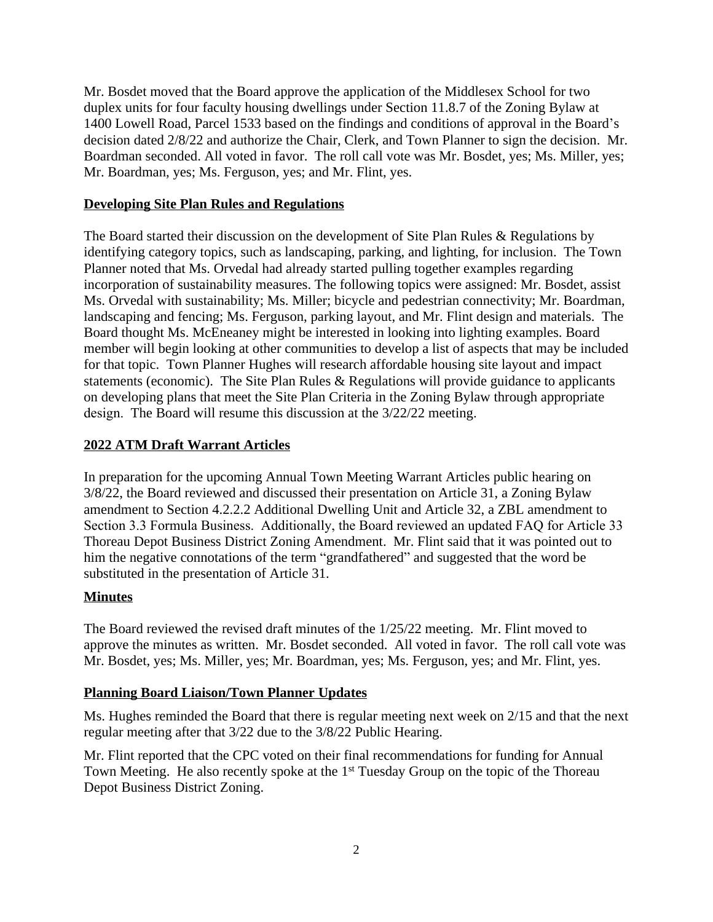Mr. Bosdet moved that the Board approve the application of the Middlesex School for two duplex units for four faculty housing dwellings under Section 11.8.7 of the Zoning Bylaw at 1400 Lowell Road, Parcel 1533 based on the findings and conditions of approval in the Board's decision dated 2/8/22 and authorize the Chair, Clerk, and Town Planner to sign the decision. Mr. Boardman seconded. All voted in favor. The roll call vote was Mr. Bosdet, yes; Ms. Miller, yes; Mr. Boardman, yes; Ms. Ferguson, yes; and Mr. Flint, yes.

#### **Developing Site Plan Rules and Regulations**

The Board started their discussion on the development of Site Plan Rules & Regulations by identifying category topics, such as landscaping, parking, and lighting, for inclusion. The Town Planner noted that Ms. Orvedal had already started pulling together examples regarding incorporation of sustainability measures. The following topics were assigned: Mr. Bosdet, assist Ms. Orvedal with sustainability; Ms. Miller; bicycle and pedestrian connectivity; Mr. Boardman, landscaping and fencing; Ms. Ferguson, parking layout, and Mr. Flint design and materials. The Board thought Ms. McEneaney might be interested in looking into lighting examples. Board member will begin looking at other communities to develop a list of aspects that may be included for that topic. Town Planner Hughes will research affordable housing site layout and impact statements (economic). The Site Plan Rules & Regulations will provide guidance to applicants on developing plans that meet the Site Plan Criteria in the Zoning Bylaw through appropriate design. The Board will resume this discussion at the 3/22/22 meeting.

## **2022 ATM Draft Warrant Articles**

In preparation for the upcoming Annual Town Meeting Warrant Articles public hearing on 3/8/22, the Board reviewed and discussed their presentation on Article 31, a Zoning Bylaw amendment to Section 4.2.2.2 Additional Dwelling Unit and Article 32, a ZBL amendment to Section 3.3 Formula Business. Additionally, the Board reviewed an updated FAQ for Article 33 Thoreau Depot Business District Zoning Amendment. Mr. Flint said that it was pointed out to him the negative connotations of the term "grandfathered" and suggested that the word be substituted in the presentation of Article 31.

## **Minutes**

The Board reviewed the revised draft minutes of the 1/25/22 meeting. Mr. Flint moved to approve the minutes as written. Mr. Bosdet seconded. All voted in favor. The roll call vote was Mr. Bosdet, yes; Ms. Miller, yes; Mr. Boardman, yes; Ms. Ferguson, yes; and Mr. Flint, yes.

#### **Planning Board Liaison/Town Planner Updates**

Ms. Hughes reminded the Board that there is regular meeting next week on 2/15 and that the next regular meeting after that 3/22 due to the 3/8/22 Public Hearing.

Mr. Flint reported that the CPC voted on their final recommendations for funding for Annual Town Meeting. He also recently spoke at the 1<sup>st</sup> Tuesday Group on the topic of the Thoreau Depot Business District Zoning.